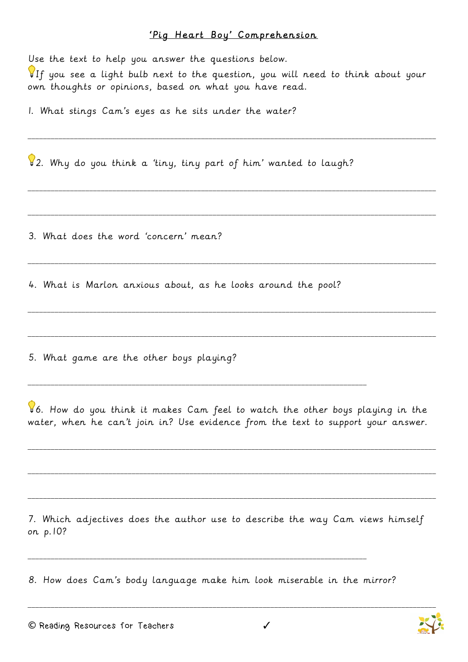## 'Pig Heart Boy' Comprehension

Use the text to help you answer the questions below.

 $\P$ If you see a light bulb next to the question, you will need to think about your own thoughts or opinions, based on what you have read.

\_\_\_\_\_\_\_\_\_\_\_\_\_\_\_\_\_\_\_\_\_\_\_\_\_\_\_\_\_\_\_\_\_\_\_\_\_\_\_\_\_\_\_\_\_\_\_\_\_\_\_\_\_\_\_\_\_\_\_\_\_\_\_\_\_\_\_\_\_\_\_\_\_\_\_\_\_\_\_\_\_\_\_\_\_\_\_\_\_\_\_\_\_\_\_\_\_\_\_\_\_\_\_\_\_\_

\_\_\_\_\_\_\_\_\_\_\_\_\_\_\_\_\_\_\_\_\_\_\_\_\_\_\_\_\_\_\_\_\_\_\_\_\_\_\_\_\_\_\_\_\_\_\_\_\_\_\_\_\_\_\_\_\_\_\_\_\_\_\_\_\_\_\_\_\_\_\_\_\_\_\_\_\_\_\_\_\_\_\_\_\_\_\_\_\_\_\_\_\_\_\_\_\_\_\_\_\_\_\_\_\_\_

\_\_\_\_\_\_\_\_\_\_\_\_\_\_\_\_\_\_\_\_\_\_\_\_\_\_\_\_\_\_\_\_\_\_\_\_\_\_\_\_\_\_\_\_\_\_\_\_\_\_\_\_\_\_\_\_\_\_\_\_\_\_\_\_\_\_\_\_\_\_\_\_\_\_\_\_\_\_\_\_\_\_\_\_\_\_\_\_\_\_\_\_\_\_\_\_\_\_\_\_\_\_\_\_\_\_

\_\_\_\_\_\_\_\_\_\_\_\_\_\_\_\_\_\_\_\_\_\_\_\_\_\_\_\_\_\_\_\_\_\_\_\_\_\_\_\_\_\_\_\_\_\_\_\_\_\_\_\_\_\_\_\_\_\_\_\_\_\_\_\_\_\_\_\_\_\_\_\_\_\_\_\_\_\_\_\_\_\_\_\_\_\_\_\_\_\_\_\_\_\_\_\_\_\_\_\_\_\_\_\_\_\_

\_\_\_\_\_\_\_\_\_\_\_\_\_\_\_\_\_\_\_\_\_\_\_\_\_\_\_\_\_\_\_\_\_\_\_\_\_\_\_\_\_\_\_\_\_\_\_\_\_\_\_\_\_\_\_\_\_\_\_\_\_\_\_\_\_\_\_\_\_\_\_\_\_\_\_\_\_\_\_\_\_\_\_\_\_\_\_\_\_\_\_\_\_\_\_\_\_\_\_\_\_\_\_\_\_\_

\_\_\_\_\_\_\_\_\_\_\_\_\_\_\_\_\_\_\_\_\_\_\_\_\_\_\_\_\_\_\_\_\_\_\_\_\_\_\_\_\_\_\_\_\_\_\_\_\_\_\_\_\_\_\_\_\_\_\_\_\_\_\_\_\_\_\_\_\_\_\_\_\_\_\_\_\_\_\_\_\_\_\_\_\_\_\_\_\_\_\_\_\_\_\_\_\_\_\_\_\_\_\_\_\_\_

1. What stings Cam's eyes as he sits under the water?

2. Why do you think a 'tiny, tiny part of him' wanted to laugh?

3. What does the word 'concern' mean?

4. What is Marlon anxious about, as he looks around the pool?

\_\_\_\_\_\_\_\_\_\_\_\_\_\_\_\_\_\_\_\_\_\_\_\_\_\_\_\_\_\_\_\_\_\_\_\_\_\_\_\_\_\_\_\_\_\_\_\_\_\_\_\_\_\_\_\_\_\_\_\_\_\_\_\_\_\_\_\_\_\_\_\_\_\_\_\_\_\_\_\_\_\_\_\_\_\_\_\_

5. What game are the other boys playing?

6. How do you think it makes Cam feel to watch the other boys playing in the water, when he can't join in? Use evidence from the text to support your answer.

\_\_\_\_\_\_\_\_\_\_\_\_\_\_\_\_\_\_\_\_\_\_\_\_\_\_\_\_\_\_\_\_\_\_\_\_\_\_\_\_\_\_\_\_\_\_\_\_\_\_\_\_\_\_\_\_\_\_\_\_\_\_\_\_\_\_\_\_\_\_\_\_\_\_\_\_\_\_\_\_\_\_\_\_\_\_\_\_\_\_\_\_\_\_\_\_\_\_\_\_\_\_\_\_\_\_

\_\_\_\_\_\_\_\_\_\_\_\_\_\_\_\_\_\_\_\_\_\_\_\_\_\_\_\_\_\_\_\_\_\_\_\_\_\_\_\_\_\_\_\_\_\_\_\_\_\_\_\_\_\_\_\_\_\_\_\_\_\_\_\_\_\_\_\_\_\_\_\_\_\_\_\_\_\_\_\_\_\_\_\_\_\_\_\_\_\_\_\_\_\_\_\_\_\_\_\_\_\_\_\_\_\_

\_\_\_\_\_\_\_\_\_\_\_\_\_\_\_\_\_\_\_\_\_\_\_\_\_\_\_\_\_\_\_\_\_\_\_\_\_\_\_\_\_\_\_\_\_\_\_\_\_\_\_\_\_\_\_\_\_\_\_\_\_\_\_\_\_\_\_\_\_\_\_\_\_\_\_\_\_\_\_\_\_\_\_\_\_\_\_\_\_\_\_\_\_\_\_\_\_\_\_\_\_\_\_\_\_\_

\_\_\_\_\_\_\_\_\_\_\_\_\_\_\_\_\_\_\_\_\_\_\_\_\_\_\_\_\_\_\_\_\_\_\_\_\_\_\_\_\_\_\_\_\_\_\_\_\_\_\_\_\_\_\_\_\_\_\_\_\_\_\_\_\_\_\_\_\_\_\_\_\_\_\_\_\_\_\_\_\_\_\_\_\_\_\_\_\_\_\_\_\_\_\_\_\_\_\_\_\_\_\_\_\_\_

7. Which adjectives does the author use to describe the way Cam views himself on p.10?

8. How does Cam's body language make him look miserable in the mirror?

\_\_\_\_\_\_\_\_\_\_\_\_\_\_\_\_\_\_\_\_\_\_\_\_\_\_\_\_\_\_\_\_\_\_\_\_\_\_\_\_\_\_\_\_\_\_\_\_\_\_\_\_\_\_\_\_\_\_\_\_\_\_\_\_\_\_\_\_\_\_\_\_\_\_\_\_\_\_\_\_\_\_\_\_\_\_\_\_